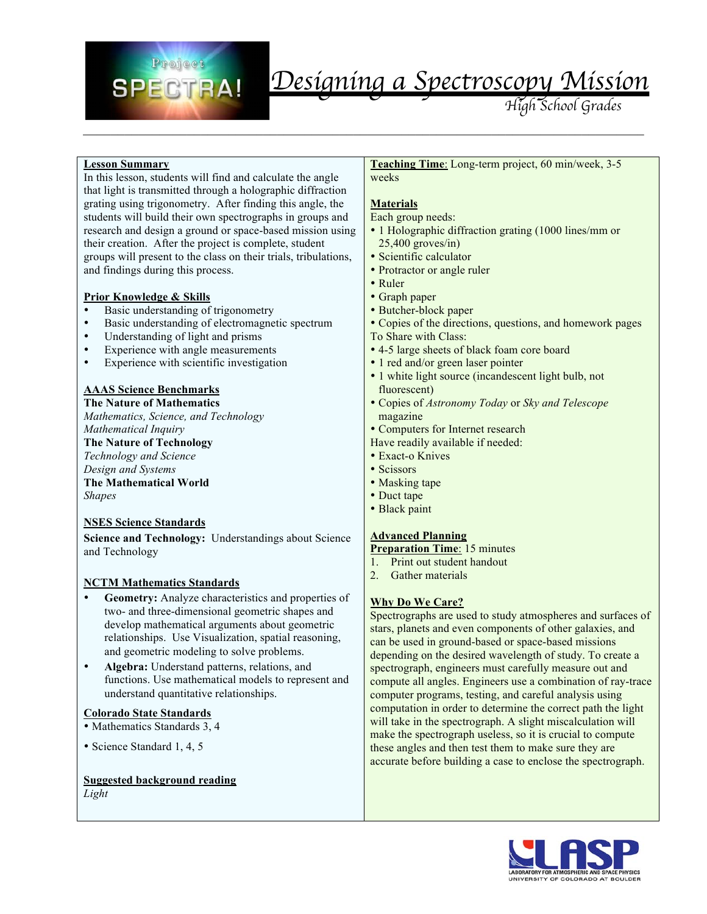

#### **Lesson Summary**

In this lesson, students will find and calculate the angle that light is transmitted through a holographic diffraction grating using trigonometry. After finding this angle, the students will build their own spectrographs in groups and research and design a ground or space-based mission using their creation. After the project is complete, student groups will present to the class on their trials, tribulations, and findings during this process.

#### **Prior Knowledge & Skills**

- Basic understanding of trigonometry
- Basic understanding of electromagnetic spectrum<br>• Understanding of light and prisms
- Understanding of light and prisms
- Experience with angle measurements
- Experience with scientific investigation

#### **AAAS Science Benchmarks**

**The Nature of Mathematics**  *Mathematics, Science, and Technology Mathematical Inquiry* **The Nature of Technology**  *Technology and Science Design and Systems*  **The Mathematical World**  *Shapes* 

#### **NSES Science Standards**

**Science and Technology:** Understandings about Science and Technology

#### **NCTM Mathematics Standards**

- Geometry: Analyze characteristics and properties of two- and three-dimensional geometric shapes and develop mathematical arguments about geometric relationships. Use Visualization, spatial reasoning, and geometric modeling to solve problems.
- **Algebra:** Understand patterns, relations, and functions. Use mathematical models to represent and understand quantitative relationships.

#### **Colorado State Standards**

- Mathematics Standards 3, 4
- Science Standard 1, 4, 5

#### **Suggested background reading**

*Light*

**Teaching Time**: Long-term project, 60 min/week, 3-5 weeks

#### **Materials**

 $\mathcal{L}_\mathcal{L} = \{ \mathcal{L}_\mathcal{L} = \{ \mathcal{L}_\mathcal{L} = \{ \mathcal{L}_\mathcal{L} = \{ \mathcal{L}_\mathcal{L} = \{ \mathcal{L}_\mathcal{L} = \{ \mathcal{L}_\mathcal{L} = \{ \mathcal{L}_\mathcal{L} = \{ \mathcal{L}_\mathcal{L} = \{ \mathcal{L}_\mathcal{L} = \{ \mathcal{L}_\mathcal{L} = \{ \mathcal{L}_\mathcal{L} = \{ \mathcal{L}_\mathcal{L} = \{ \mathcal{L}_\mathcal{L} = \{ \mathcal{L}_\mathcal{$ 

Each group needs:

- 1 Holographic diffraction grating (1000 lines/mm or  $25,400$  groves/in)
- Scientific calculator
- Protractor or angle ruler
- Ruler
- Graph paper
- Butcher-block paper
- Copies of the directions, questions, and homework pages
- To Share with Class:
- 4-5 large sheets of black foam core board
- 1 red and/or green laser pointer
- 1 white light source (incandescent light bulb, not fluorescent)
- Copies of *Astronomy Today* or *Sky and Telescope* magazine
- Computers for Internet research
- Have readily available if needed:
- Exact-o Knives
- Scissors
- Masking tape
- Duct tape
- Black paint

#### **Advanced Planning**

- **Preparation Time**: 15 minutes
- 1. Print out student handout
- 2. Gather materials

#### **Why Do We Care?**

Spectrographs are used to study atmospheres and surfaces of stars, planets and even components of other galaxies, and can be used in ground-based or space-based missions depending on the desired wavelength of study. To create a spectrograph, engineers must carefully measure out and compute all angles. Engineers use a combination of ray-trace computer programs, testing, and careful analysis using computation in order to determine the correct path the light will take in the spectrograph. A slight miscalculation will make the spectrograph useless, so it is crucial to compute these angles and then test them to make sure they are accurate before building a case to enclose the spectrograph.

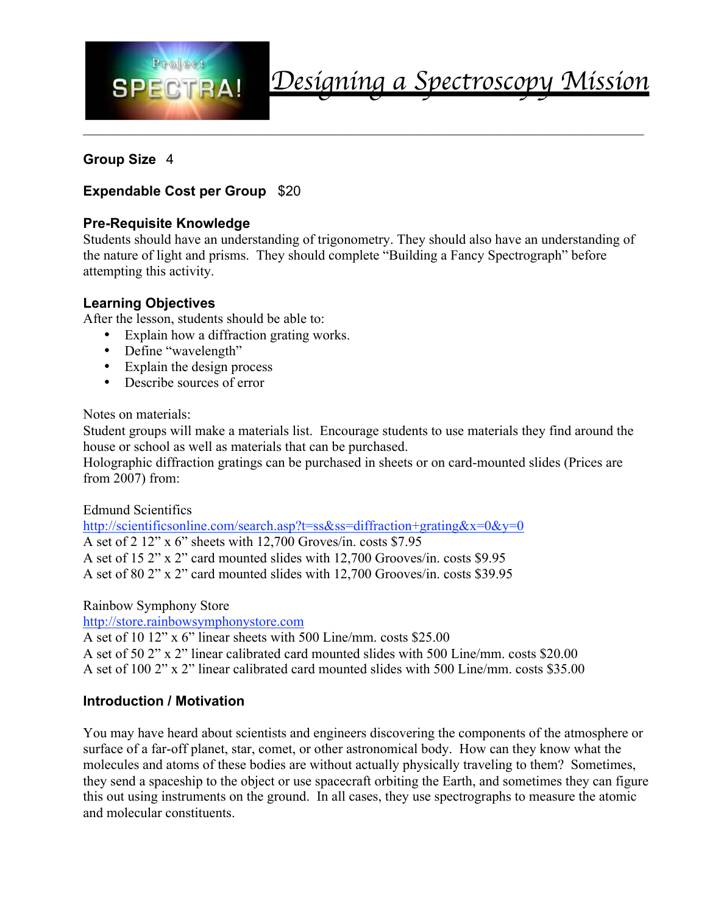

### **Group Size** 4

### **Expendable Cost per Group** \$20

### **Pre-Requisite Knowledge**

Students should have an understanding of trigonometry. They should also have an understanding of the nature of light and prisms. They should complete "Building a Fancy Spectrograph" before attempting this activity.

#### **Learning Objectives**

After the lesson, students should be able to:

- Explain how a diffraction grating works.
- Define "wavelength"
- Explain the design process
- Describe sources of error

Notes on materials:

Student groups will make a materials list. Encourage students to use materials they find around the house or school as well as materials that can be purchased.

Holographic diffraction gratings can be purchased in sheets or on card-mounted slides (Prices are from 2007) from:

Edmund Scientifics

http://scientificsonline.com/search.asp?t=ss&ss=diffraction+grating&x=0&y=0 A set of 2 12" x 6" sheets with 12,700 Groves/in. costs \$7.95 A set of 15 2" x 2" card mounted slides with 12,700 Grooves/in. costs \$9.95 A set of 80 2" x 2" card mounted slides with 12,700 Grooves/in. costs \$39.95

Rainbow Symphony Store

http://store.rainbowsymphonystore.com

A set of 10 12" x 6" linear sheets with 500 Line/mm. costs \$25.00

A set of 50 2" x 2" linear calibrated card mounted slides with 500 Line/mm. costs \$20.00 A set of 100 2" x 2" linear calibrated card mounted slides with 500 Line/mm. costs \$35.00

### **Introduction / Motivation**

You may have heard about scientists and engineers discovering the components of the atmosphere or surface of a far-off planet, star, comet, or other astronomical body. How can they know what the molecules and atoms of these bodies are without actually physically traveling to them? Sometimes, they send a spaceship to the object or use spacecraft orbiting the Earth, and sometimes they can figure this out using instruments on the ground. In all cases, they use spectrographs to measure the atomic and molecular constituents.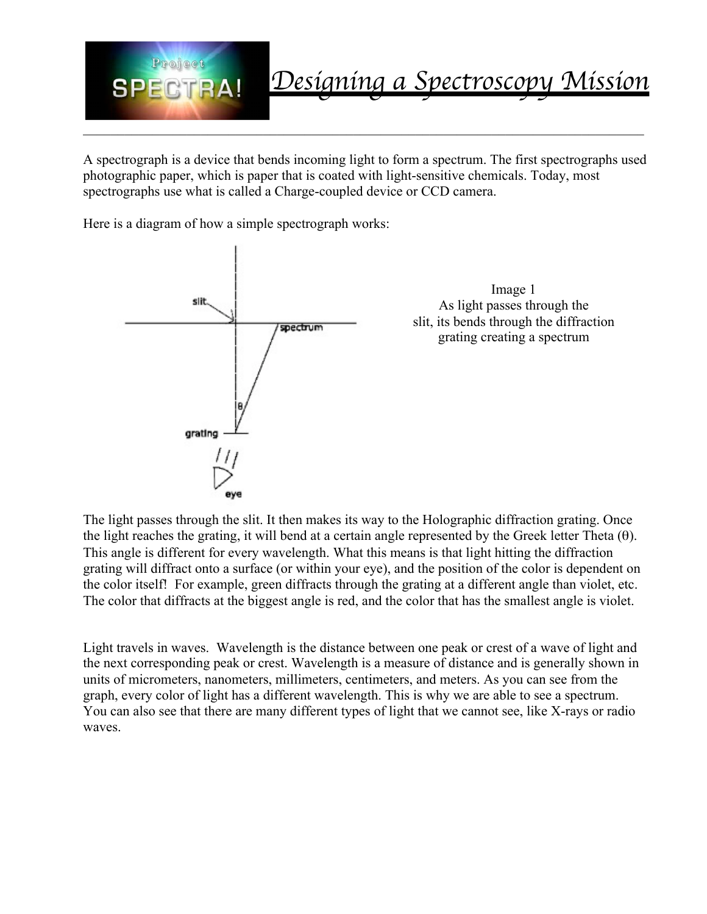

A spectrograph is a device that bends incoming light to form a spectrum. The first spectrographs used photographic paper, which is paper that is coated with light-sensitive chemicals. Today, most spectrographs use what is called a Charge-coupled device or CCD camera.

Here is a diagram of how a simple spectrograph works:



The light passes through the slit. It then makes its way to the Holographic diffraction grating. Once the light reaches the grating, it will bend at a certain angle represented by the Greek letter Theta  $(\theta)$ . This angle is different for every wavelength. What this means is that light hitting the diffraction grating will diffract onto a surface (or within your eye), and the position of the color is dependent on the color itself! For example, green diffracts through the grating at a different angle than violet, etc. The color that diffracts at the biggest angle is red, and the color that has the smallest angle is violet.

Light travels in waves. Wavelength is the distance between one peak or crest of a wave of light and the next corresponding peak or crest. Wavelength is a measure of distance and is generally shown in units of micrometers, nanometers, millimeters, centimeters, and meters. As you can see from the graph, every color of light has a different wavelength. This is why we are able to see a spectrum. You can also see that there are many different types of light that we cannot see, like X-rays or radio waves.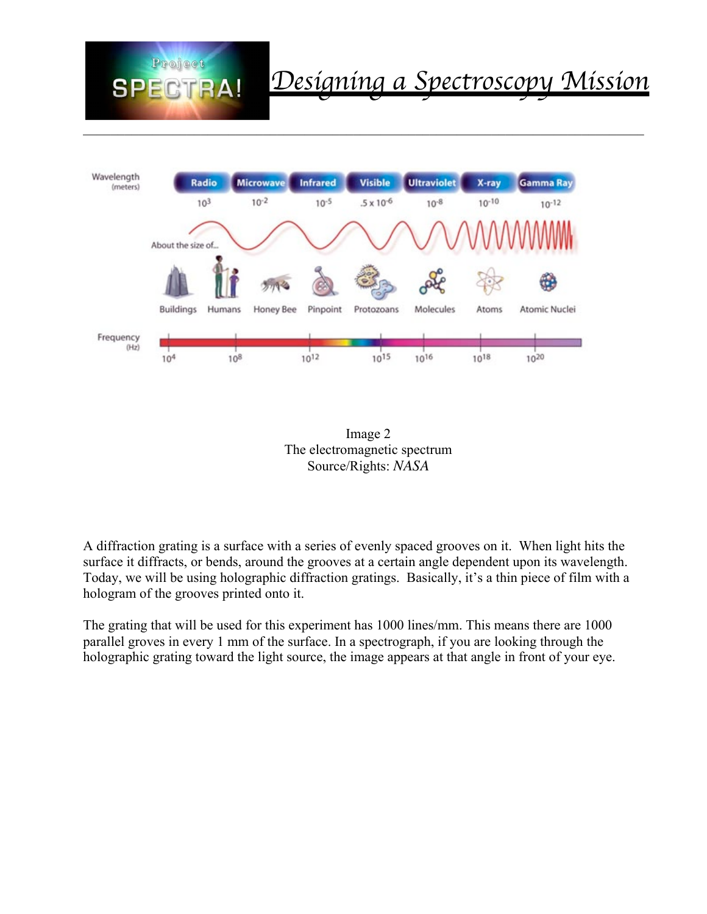



 $\_$  , and the contribution of the contribution of the contribution of the contribution of  $\mathcal{L}_\text{max}$ 



A diffraction grating is a surface with a series of evenly spaced grooves on it. When light hits the surface it diffracts, or bends, around the grooves at a certain angle dependent upon its wavelength. Today, we will be using holographic diffraction gratings. Basically, it's a thin piece of film with a hologram of the grooves printed onto it.

The grating that will be used for this experiment has 1000 lines/mm. This means there are 1000 parallel groves in every 1 mm of the surface. In a spectrograph, if you are looking through the holographic grating toward the light source, the image appears at that angle in front of your eye.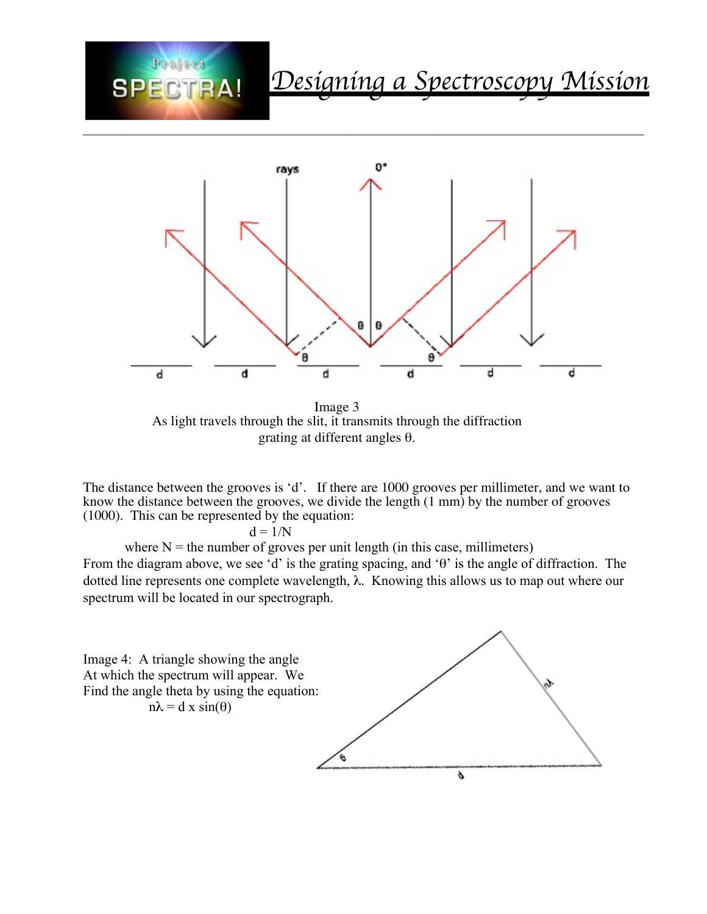



 $\_$  , and the contribution of the contribution of the contribution of the contribution of  $\mathcal{L}_\text{max}$ 

 Image 3 As light travels through the slit, it transmits through the diffraction grating at different angles θ.

The distance between the grooves is 'd'. If there are 1000 grooves per millimeter, and we want to know the distance between the grooves, we divide the length (1 mm) by the number of grooves (1000). This can be represented by the equation:

 $d = 1/N$ 

where  $N =$  the number of groves per unit length (in this case, millimeters) From the diagram above, we see 'd' is the grating spacing, and 'θ' is the angle of diffraction. The dotted line represents one complete wavelength, λ. Knowing this allows us to map out where our spectrum will be located in our spectrograph.

Image 4: A triangle showing the angle At which the spectrum will appear. We Find the angle theta by using the equation:  $n\lambda = d \times \sin(\theta)$ 

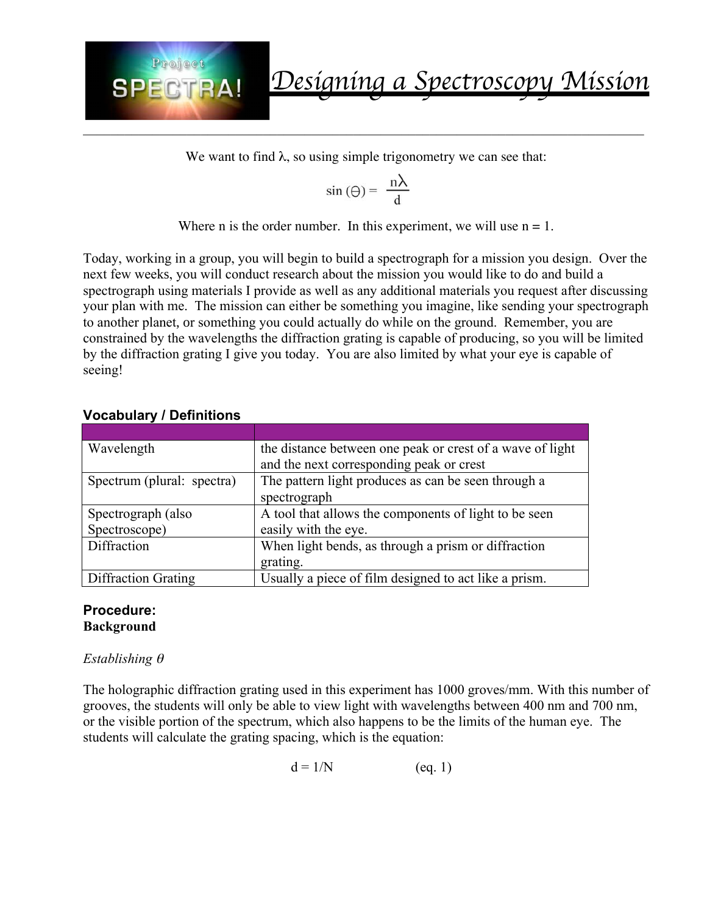

We want to find  $\lambda$ , so using simple trigonometry we can see that:

$$
\sin(\Theta) = \frac{n\lambda}{d}
$$

Where n is the order number. In this experiment, we will use  $n = 1$ .

Today, working in a group, you will begin to build a spectrograph for a mission you design. Over the next few weeks, you will conduct research about the mission you would like to do and build a spectrograph using materials I provide as well as any additional materials you request after discussing your plan with me. The mission can either be something you imagine, like sending your spectrograph to another planet, or something you could actually do while on the ground. Remember, you are constrained by the wavelengths the diffraction grating is capable of producing, so you will be limited by the diffraction grating I give you today. You are also limited by what your eye is capable of seeing!

#### **Vocabulary / Definitions**

| Wavelength                 | the distance between one peak or crest of a wave of light |  |
|----------------------------|-----------------------------------------------------------|--|
|                            | and the next corresponding peak or crest                  |  |
| Spectrum (plural: spectra) | The pattern light produces as can be seen through a       |  |
|                            | spectrograph                                              |  |
| Spectrograph (also         | A tool that allows the components of light to be seen     |  |
| Spectroscope)              | easily with the eye.                                      |  |
| Diffraction                | When light bends, as through a prism or diffraction       |  |
|                            | grating.                                                  |  |
| <b>Diffraction Grating</b> | Usually a piece of film designed to act like a prism.     |  |

#### **Procedure: Background**

#### *Establishing* <sup>θ</sup>

The holographic diffraction grating used in this experiment has 1000 groves/mm. With this number of grooves, the students will only be able to view light with wavelengths between 400 nm and 700 nm, or the visible portion of the spectrum, which also happens to be the limits of the human eye. The students will calculate the grating spacing, which is the equation:

$$
d = 1/N \qquad (eq. 1)
$$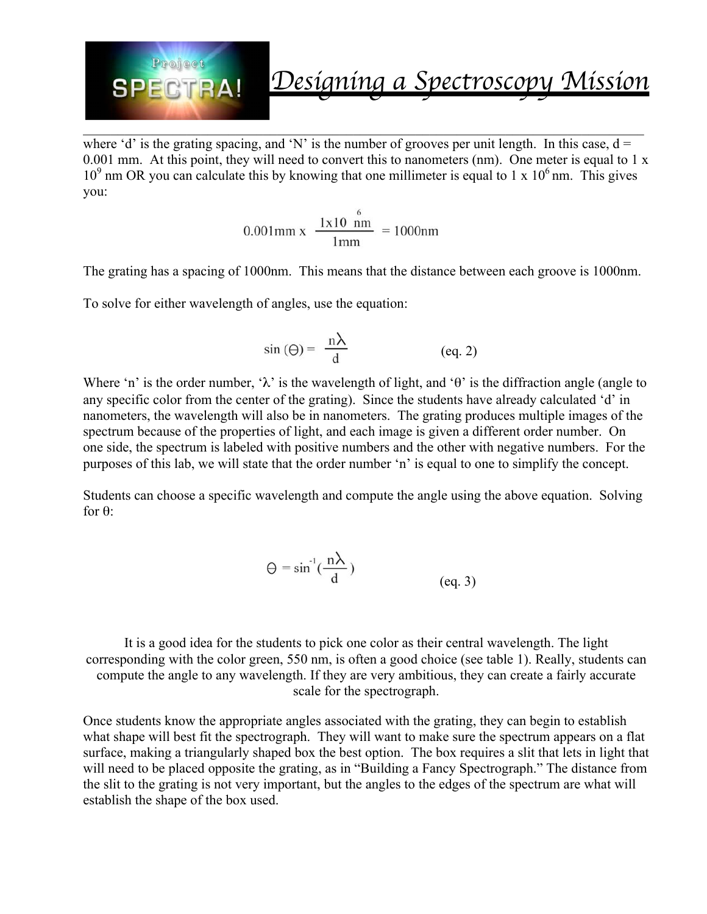

where 'd' is the grating spacing, and 'N' is the number of grooves per unit length. In this case,  $d =$ 0.001 mm. At this point, they will need to convert this to nanometers (nm). One meter is equal to 1 x  $10<sup>9</sup>$  nm OR you can calculate this by knowing that one millimeter is equal to 1 x  $10<sup>6</sup>$  nm. This gives you:

 $\_$  , and the contribution of the contribution of the contribution of the contribution of  $\mathcal{L}_\text{max}$ 

$$
0.001 \text{mm x} \frac{1 \text{x} 10^6 \text{mm}}{1 \text{mm}} = 1000 \text{nm}
$$

The grating has a spacing of 1000nm. This means that the distance between each groove is 1000nm.

To solve for either wavelength of angles, use the equation:

$$
\sin(\Theta) = \frac{n\lambda}{d} \quad (eq. 2)
$$

Where 'n' is the order number, ' $\lambda$ ' is the wavelength of light, and 'θ' is the diffraction angle (angle to any specific color from the center of the grating). Since the students have already calculated 'd' in nanometers, the wavelength will also be in nanometers. The grating produces multiple images of the spectrum because of the properties of light, and each image is given a different order number. On one side, the spectrum is labeled with positive numbers and the other with negative numbers. For the purposes of this lab, we will state that the order number 'n' is equal to one to simplify the concept.

Students can choose a specific wavelength and compute the angle using the above equation. Solving for θ:

$$
\Theta = \sin^{-1}(\frac{n\lambda}{d})
$$
 (eq. 3)

It is a good idea for the students to pick one color as their central wavelength. The light corresponding with the color green, 550 nm, is often a good choice (see table 1). Really, students can compute the angle to any wavelength. If they are very ambitious, they can create a fairly accurate scale for the spectrograph.

Once students know the appropriate angles associated with the grating, they can begin to establish what shape will best fit the spectrograph. They will want to make sure the spectrum appears on a flat surface, making a triangularly shaped box the best option. The box requires a slit that lets in light that will need to be placed opposite the grating, as in "Building a Fancy Spectrograph." The distance from the slit to the grating is not very important, but the angles to the edges of the spectrum are what will establish the shape of the box used.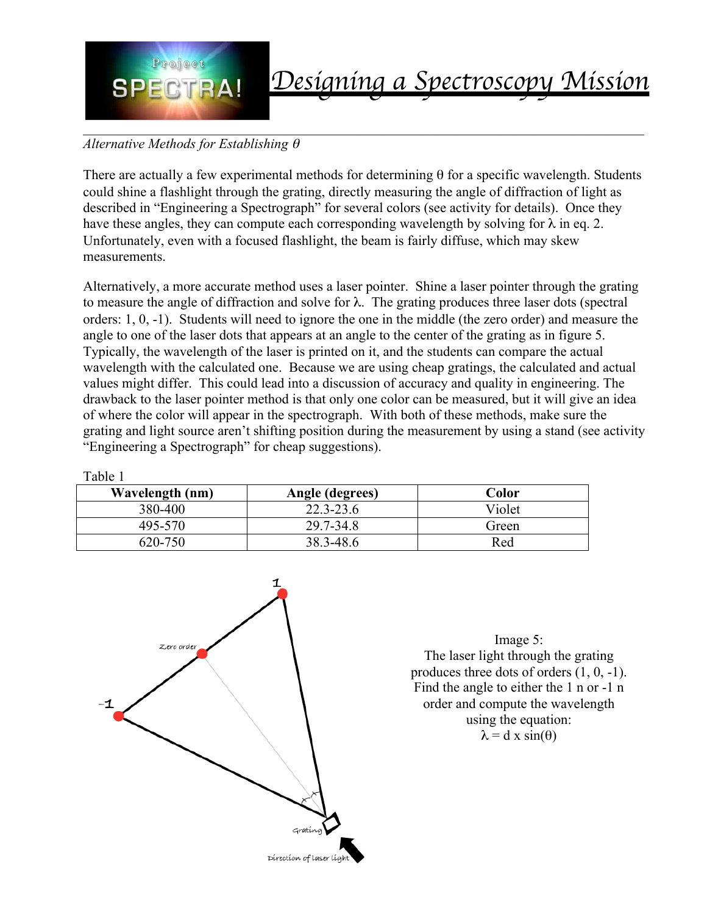

Table 1

# Designing a Spectroscopy Mission

## *Alternative Methods for Establishing* <sup>θ</sup>

There are actually a few experimental methods for determining  $\theta$  for a specific wavelength. Students could shine a flashlight through the grating, directly measuring the angle of diffraction of light as described in "Engineering a Spectrograph" for several colors (see activity for details). Once they have these angles, they can compute each corresponding wavelength by solving for  $\lambda$  in eq. 2. Unfortunately, even with a focused flashlight, the beam is fairly diffuse, which may skew measurements.

Alternatively, a more accurate method uses a laser pointer. Shine a laser pointer through the grating to measure the angle of diffraction and solve for  $\lambda$ . The grating produces three laser dots (spectral orders: 1, 0, -1). Students will need to ignore the one in the middle (the zero order) and measure the angle to one of the laser dots that appears at an angle to the center of the grating as in figure 5. Typically, the wavelength of the laser is printed on it, and the students can compare the actual wavelength with the calculated one. Because we are using cheap gratings, the calculated and actual values might differ. This could lead into a discussion of accuracy and quality in engineering. The drawback to the laser pointer method is that only one color can be measured, but it will give an idea of where the color will appear in the spectrograph. With both of these methods, make sure the grating and light source aren't shifting position during the measurement by using a stand (see activity "Engineering a Spectrograph" for cheap suggestions).

| Wavelength (nm) | Angle (degrees) | Color  |
|-----------------|-----------------|--------|
| 380-400         | $22.3 - 23.6$   | Violet |
| 495-570         | 29.7-34.8       | Green  |
| 620-750         | 38.3-48.6       | Red    |

1 Zero order Gratíno Direction of laser ligi

Image 5: The laser light through the grating produces three dots of orders (1, 0, -1). Find the angle to either the 1 n or -1 n order and compute the wavelength using the equation:  $\lambda = d \times \sin(\theta)$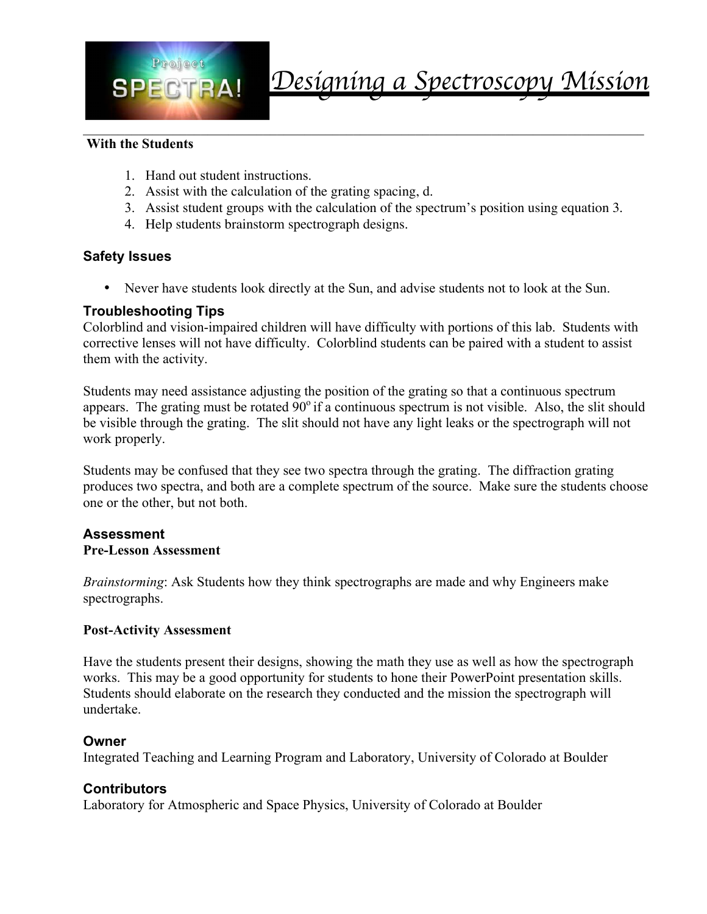

#### **With the Students**

- 1. Hand out student instructions.
- 2. Assist with the calculation of the grating spacing, d.
- 3. Assist student groups with the calculation of the spectrum's position using equation 3.

 $\_$  , and the contribution of the contribution of the contribution of the contribution of  $\mathcal{L}_\text{max}$ 

4. Help students brainstorm spectrograph designs.

#### **Safety Issues**

• Never have students look directly at the Sun, and advise students not to look at the Sun.

#### **Troubleshooting Tips**

Colorblind and vision-impaired children will have difficulty with portions of this lab. Students with corrective lenses will not have difficulty. Colorblind students can be paired with a student to assist them with the activity.

Students may need assistance adjusting the position of the grating so that a continuous spectrum appears. The grating must be rotated  $90^\circ$  if a continuous spectrum is not visible. Also, the slit should be visible through the grating. The slit should not have any light leaks or the spectrograph will not work properly.

Students may be confused that they see two spectra through the grating. The diffraction grating produces two spectra, and both are a complete spectrum of the source. Make sure the students choose one or the other, but not both.

#### **Assessment Pre-Lesson Assessment**

*Brainstorming*: Ask Students how they think spectrographs are made and why Engineers make spectrographs.

#### **Post-Activity Assessment**

Have the students present their designs, showing the math they use as well as how the spectrograph works. This may be a good opportunity for students to hone their PowerPoint presentation skills. Students should elaborate on the research they conducted and the mission the spectrograph will undertake.

#### **Owner**

Integrated Teaching and Learning Program and Laboratory, University of Colorado at Boulder

#### **Contributors**

Laboratory for Atmospheric and Space Physics, University of Colorado at Boulder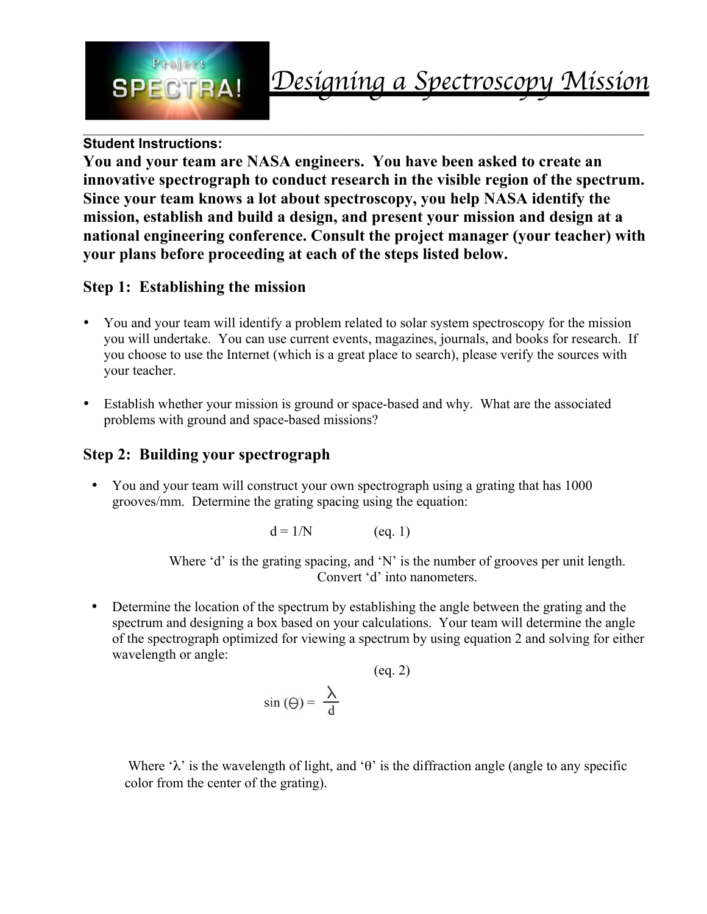

### **Student Instructions:**

**You and your team are NASA engineers. You have been asked to create an innovative spectrograph to conduct research in the visible region of the spectrum. Since your team knows a lot about spectroscopy, you help NASA identify the mission, establish and build a design, and present your mission and design at a national engineering conference. Consult the project manager (your teacher) with your plans before proceeding at each of the steps listed below.** 

### **Step 1: Establishing the mission**

- You and your team will identify a problem related to solar system spectroscopy for the mission you will undertake. You can use current events, magazines, journals, and books for research. If you choose to use the Internet (which is a great place to search), please verify the sources with your teacher.
- Establish whether your mission is ground or space-based and why. What are the associated problems with ground and space-based missions?

# **Step 2: Building your spectrograph**

• You and your team will construct your own spectrograph using a grating that has 1000 grooves/mm. Determine the grating spacing using the equation:

 $d = 1/N$  (eq. 1)

Where 'd' is the grating spacing, and 'N' is the number of grooves per unit length. Convert 'd' into nanometers.

• Determine the location of the spectrum by establishing the angle between the grating and the spectrum and designing a box based on your calculations. Your team will determine the angle of the spectrograph optimized for viewing a spectrum by using equation 2 and solving for either wavelength or angle:

$$
\sin(\Theta) = \frac{\lambda}{d}
$$
 (eq. 2)

Where ' $\lambda$ ' is the wavelength of light, and 'θ' is the diffraction angle (angle to any specific color from the center of the grating).